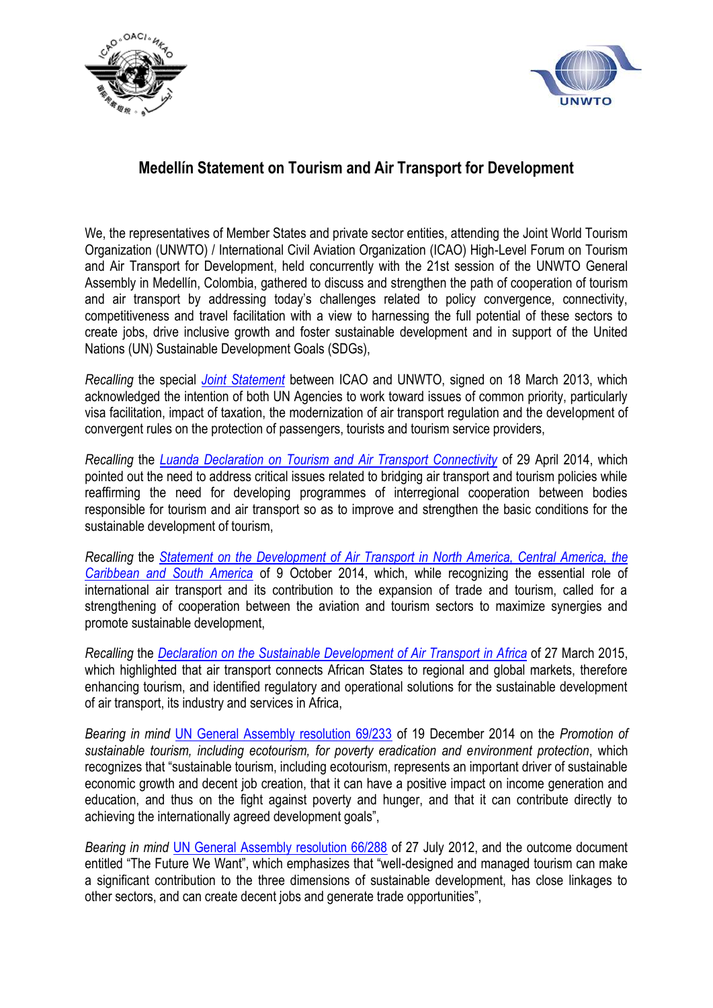



## **Medellín Statement on Tourism and Air Transport for Development**

We, the representatives of Member States and private sector entities, attending the Joint World Tourism Organization (UNWTO) / International Civil Aviation Organization (ICAO) High-Level Forum on Tourism and Air Transport for Development, held concurrently with the 21st session of the UNWTO General Assembly in Medellín, Colombia, gathered to discuss and strengthen the path of cooperation of tourism and air transport by addressing today's challenges related to policy convergence, connectivity, competitiveness and travel facilitation with a view to harnessing the full potential of these sectors to create jobs, drive inclusive growth and foster sustainable development and in support of the United Nations (UN) Sustainable Development Goals (SDGs),

*Recalling* the special *[Joint Statement](https://s3-eu-west-1.amazonaws.com/staticunwto/LMD/GA/1_COM.9.13.EN.pdf)* between ICAO and UNWTO, signed on 18 March 2013, which acknowledged the intention of both UN Agencies to work toward issues of common priority, particularly visa facilitation, impact of taxation, the modernization of air transport regulation and the development of convergent rules on the protection of passengers, tourists and tourism service providers,

*Recalling* the *[Luanda Declaration on Tourism and Air Transport Connectivity](https://s3-eu-west-1.amazonaws.com/staticunwto/LMD/GA/2_Declaration-on-Aviation_en.pdf)* of 29 April 2014, which pointed out the need to address critical issues related to bridging air transport and tourism policies while reaffirming the need for developing programmes of interregional cooperation between bodies responsible for tourism and air transport so as to improve and strengthen the basic conditions for the sustainable development of tourism,

*Recalling* the *[Statement on the Development of Air Transport in North America, Central America, the](https://s3-eu-west-1.amazonaws.com/staticunwto/LMD/GA/3_Statement-DevelopmentAirTransport_EnSp.pdf)  [Caribbean and South America](https://s3-eu-west-1.amazonaws.com/staticunwto/LMD/GA/3_Statement-DevelopmentAirTransport_EnSp.pdf)* of 9 October 2014, which, while recognizing the essential role of international air transport and its contribution to the expansion of trade and tourism, called for a strengthening of cooperation between the aviation and tourism sectors to maximize synergies and promote sustainable development,

*Recalling* the *[Declaration on the Sustainable Development of Air Transport in Africa](https://s3-eu-west-1.amazonaws.com/staticunwto/LMD/GA/4_Madagascar-Declaration-en.pdf)* of 27 March 2015, which highlighted that air transport connects African States to regional and global markets, therefore enhancing tourism, and identified regulatory and operational solutions for the sustainable development of air transport, its industry and services in Africa,

*Bearing in mind* [UN General Assembly resolution 69/233](https://s3-eu-west-1.amazonaws.com/staticunwto/LMD/GA/5_N1471399_En.pdf) of 19 December 2014 on the *Promotion of sustainable tourism, including ecotourism, for poverty eradication and environment protection*, which recognizes that "sustainable tourism, including ecotourism, represents an important driver of sustainable economic growth and decent job creation, that it can have a positive impact on income generation and education, and thus on the fight against poverty and hunger, and that it can contribute directly to achieving the internationally agreed development goals",

*Bearing in mind* [UN General Assembly resolution 66/288](https://s3-eu-west-1.amazonaws.com/staticunwto/LMD/GA/6_N1147610_En.pdf) of 27 July 2012, and the outcome document entitled "The Future We Want", which emphasizes that "well-designed and managed tourism can make a significant contribution to the three dimensions of sustainable development, has close linkages to other sectors, and can create decent jobs and generate trade opportunities",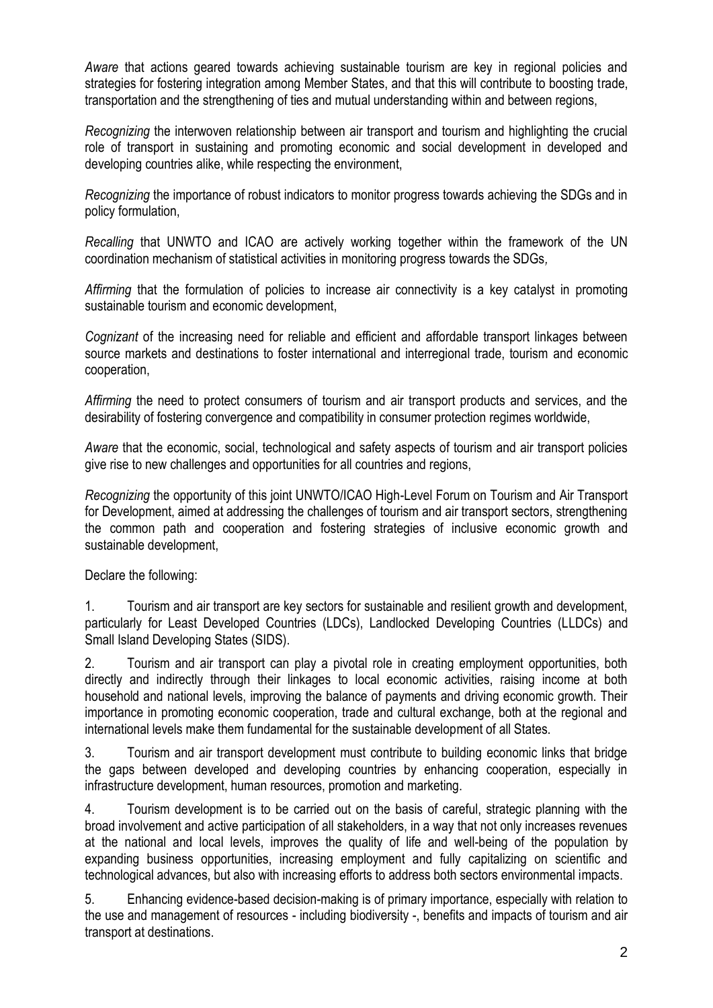*Aware* that actions geared towards achieving sustainable tourism are key in regional policies and strategies for fostering integration among Member States, and that this will contribute to boosting trade, transportation and the strengthening of ties and mutual understanding within and between regions,

*Recognizing* the interwoven relationship between air transport and tourism and highlighting the crucial role of transport in sustaining and promoting economic and social development in developed and developing countries alike, while respecting the environment,

*Recognizing* the importance of robust indicators to monitor progress towards achieving the SDGs and in policy formulation,

*Recalling* that UNWTO and ICAO are actively working together within the framework of the UN coordination mechanism of statistical activities in monitoring progress towards the SDGs*,*

*Affirming* that the formulation of policies to increase air connectivity is a key catalyst in promoting sustainable tourism and economic development,

*Cognizant* of the increasing need for reliable and efficient and affordable transport linkages between source markets and destinations to foster international and interregional trade, tourism and economic cooperation,

*Affirming* the need to protect consumers of tourism and air transport products and services, and the desirability of fostering convergence and compatibility in consumer protection regimes worldwide,

*Aware* that the economic, social, technological and safety aspects of tourism and air transport policies give rise to new challenges and opportunities for all countries and regions,

*Recognizing* the opportunity of this joint UNWTO/ICAO High-Level Forum on Tourism and Air Transport for Development, aimed at addressing the challenges of tourism and air transport sectors, strengthening the common path and cooperation and fostering strategies of inclusive economic growth and sustainable development,

Declare the following:

1. Tourism and air transport are key sectors for sustainable and resilient growth and development, particularly for Least Developed Countries (LDCs), Landlocked Developing Countries (LLDCs) and Small Island Developing States (SIDS).

2. Tourism and air transport can play a pivotal role in creating employment opportunities, both directly and indirectly through their linkages to local economic activities, raising income at both household and national levels, improving the balance of payments and driving economic growth. Their importance in promoting economic cooperation, trade and cultural exchange, both at the regional and international levels make them fundamental for the sustainable development of all States.

3. Tourism and air transport development must contribute to building economic links that bridge the gaps between developed and developing countries by enhancing cooperation, especially in infrastructure development, human resources, promotion and marketing.

4. Tourism development is to be carried out on the basis of careful, strategic planning with the broad involvement and active participation of all stakeholders, in a way that not only increases revenues at the national and local levels, improves the quality of life and well-being of the population by expanding business opportunities, increasing employment and fully capitalizing on scientific and technological advances, but also with increasing efforts to address both sectors environmental impacts.

5. Enhancing evidence-based decision-making is of primary importance, especially with relation to the use and management of resources - including biodiversity -, benefits and impacts of tourism and air transport at destinations.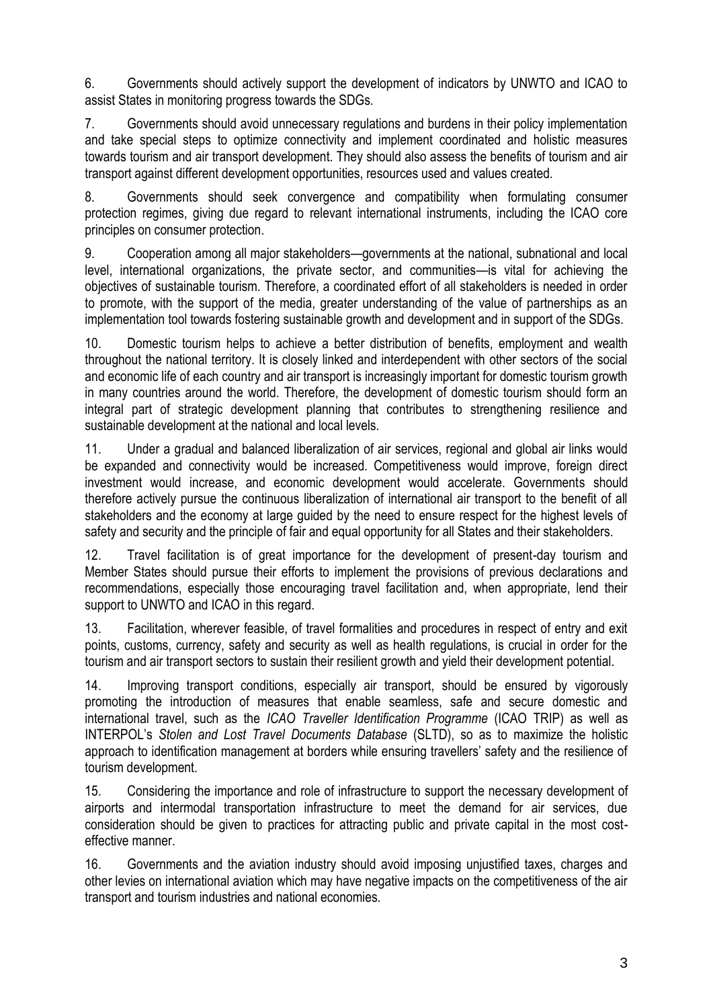6. Governments should actively support the development of indicators by UNWTO and ICAO to assist States in monitoring progress towards the SDGs.

7. Governments should avoid unnecessary regulations and burdens in their policy implementation and take special steps to optimize connectivity and implement coordinated and holistic measures towards tourism and air transport development. They should also assess the benefits of tourism and air transport against different development opportunities, resources used and values created.

8. Governments should seek convergence and compatibility when formulating consumer protection regimes, giving due regard to relevant international instruments, including the ICAO core principles on consumer protection.

9. Cooperation among all major stakeholders—governments at the national, subnational and local level, international organizations, the private sector, and communities—is vital for achieving the objectives of sustainable tourism. Therefore, a coordinated effort of all stakeholders is needed in order to promote, with the support of the media, greater understanding of the value of partnerships as an implementation tool towards fostering sustainable growth and development and in support of the SDGs.

10. Domestic tourism helps to achieve a better distribution of benefits, employment and wealth throughout the national territory. It is closely linked and interdependent with other sectors of the social and economic life of each country and air transport is increasingly important for domestic tourism growth in many countries around the world. Therefore, the development of domestic tourism should form an integral part of strategic development planning that contributes to strengthening resilience and sustainable development at the national and local levels.

11. Under a gradual and balanced liberalization of air services, regional and global air links would be expanded and connectivity would be increased. Competitiveness would improve, foreign direct investment would increase, and economic development would accelerate. Governments should therefore actively pursue the continuous liberalization of international air transport to the benefit of all stakeholders and the economy at large guided by the need to ensure respect for the highest levels of safety and security and the principle of fair and equal opportunity for all States and their stakeholders.

12. Travel facilitation is of great importance for the development of present-day tourism and Member States should pursue their efforts to implement the provisions of previous declarations and recommendations, especially those encouraging travel facilitation and, when appropriate, lend their support to UNWTO and ICAO in this regard.

13. Facilitation, wherever feasible, of travel formalities and procedures in respect of entry and exit points, customs, currency, safety and security as well as health regulations, is crucial in order for the tourism and air transport sectors to sustain their resilient growth and yield their development potential.

14. Improving transport conditions, especially air transport, should be ensured by vigorously promoting the introduction of measures that enable seamless, safe and secure domestic and international travel, such as the *ICAO Traveller Identification Programme* (ICAO TRIP) as well as INTERPOL's *Stolen and Lost Travel Documents Database* (SLTD), so as to maximize the holistic approach to identification management at borders while ensuring travellers' safety and the resilience of tourism development.

15. Considering the importance and role of infrastructure to support the necessary development of airports and intermodal transportation infrastructure to meet the demand for air services, due consideration should be given to practices for attracting public and private capital in the most costeffective manner.

16. Governments and the aviation industry should avoid imposing unjustified taxes, charges and other levies on international aviation which may have negative impacts on the competitiveness of the air transport and tourism industries and national economies.